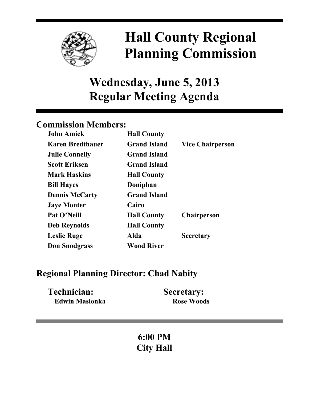

# **Hall County Regional Planning Commission**

## **Wednesday, June 5, 2013 Regular Meeting Agenda**

## **Commission Members:**

| <b>John Amick</b>       | <b>Hall County</b>  |                         |
|-------------------------|---------------------|-------------------------|
| <b>Karen Bredthauer</b> | <b>Grand Island</b> | <b>Vice Chairperson</b> |
| <b>Julie Connelly</b>   | <b>Grand Island</b> |                         |
| <b>Scott Eriksen</b>    | <b>Grand Island</b> |                         |
| <b>Mark Haskins</b>     | <b>Hall County</b>  |                         |
| <b>Bill Hayes</b>       | Doniphan            |                         |
| <b>Dennis McCarty</b>   | <b>Grand Island</b> |                         |
| <b>Jaye Monter</b>      | Cairo               |                         |
| Pat O'Neill             | <b>Hall County</b>  | <b>Chairperson</b>      |
| <b>Deb Reynolds</b>     | <b>Hall County</b>  |                         |
| <b>Leslie Ruge</b>      | Alda                | <b>Secretary</b>        |
| <b>Don Snodgrass</b>    | <b>Wood River</b>   |                         |

### **Regional Planning Director: Chad Nabity**

| Technician:           | <b>Secretary:</b> |
|-----------------------|-------------------|
| <b>Edwin Maslonka</b> | <b>Rose Woods</b> |

## **6:00 PM City Hall**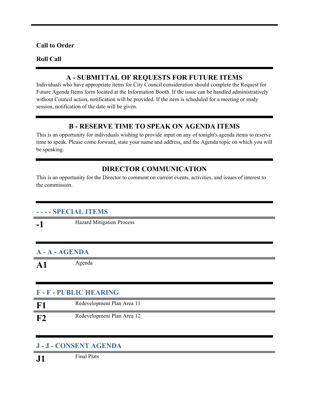#### **Call to Order**

#### **Roll Call**

#### **A - SUBMITTAL OF REQUESTS FOR FUTURE ITEMS**

Individuals who have appropriate items for City Council consideration should complete the Request for Future Agenda Items form located at the Information Booth. If the issue can be handled administratively without Council action, notification will be provided. If the item is scheduled for a meeting or study session, notification of the date will be given.

#### **B - RESERVE TIME TO SPEAK ON AGENDA ITEMS**

This is an opportunity for individuals wishing to provide input on any of tonight's agenda items to reserve time to speak. Please come forward, state your name and address, and the Agenda topic on which you will be speaking.

#### **DIRECTOR COMMUNICATION**

This is an opportunity for the Director to comment on current events, activities, and issues of interest to the commission.

#### **- - - - SPECIAL ITEMS**

**-1** Hazard Mitigation Process

#### **A - A - AGENDA**

A1 Agenda

#### **F - F - PUBLIC HEARING**

| Redevelopment Plan Area 11 |
|----------------------------|
| Redevelopment Plan Area 12 |

#### **J - J - CONSENT AGENDA**

**J1** Final Plats